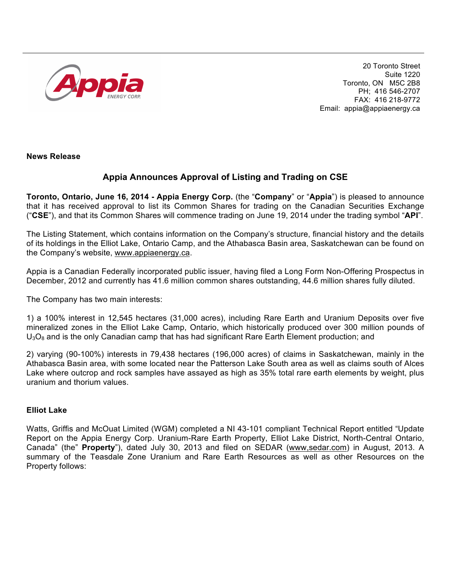

20 Toronto Street Suite 1220 Toronto, ON M5C 2B8 PH; 416 546-2707 FAX: 416 218-9772 Email: appia@appiaenergy.ca

**News Release** 

# **Appia Announces Approval of Listing and Trading on CSE**

**Toronto, Ontario, June 16, 2014 - Appia Energy Corp.** (the "**Company**" or "**Appia**") is pleased to announce that it has received approval to list its Common Shares for trading on the Canadian Securities Exchange ("**CSE**"), and that its Common Shares will commence trading on June 19, 2014 under the trading symbol "**API**".

The Listing Statement, which contains information on the Company's structure, financial history and the details of its holdings in the Elliot Lake, Ontario Camp, and the Athabasca Basin area, Saskatchewan can be found on the Company's website, www.appiaenergy.ca.

Appia is a Canadian Federally incorporated public issuer, having filed a Long Form Non-Offering Prospectus in December, 2012 and currently has 41.6 million common shares outstanding, 44.6 million shares fully diluted.

The Company has two main interests:

1) a 100% interest in 12,545 hectares (31,000 acres), including Rare Earth and Uranium Deposits over five mineralized zones in the Elliot Lake Camp, Ontario, which historically produced over 300 million pounds of  $U_3O_8$  and is the only Canadian camp that has had significant Rare Earth Element production; and

2) varying (90-100%) interests in 79,438 hectares (196,000 acres) of claims in Saskatchewan, mainly in the Athabasca Basin area, with some located near the Patterson Lake South area as well as claims south of Alces Lake where outcrop and rock samples have assayed as high as 35% total rare earth elements by weight, plus uranium and thorium values.

# **Elliot Lake**

Watts, Griffis and McOuat Limited (WGM) completed a NI 43-101 compliant Technical Report entitled "Update Report on the Appia Energy Corp. Uranium-Rare Earth Property, Elliot Lake District, North-Central Ontario, Canada" (the" **Property**"), dated July 30, 2013 and filed on SEDAR (www,sedar.com) in August, 2013. A summary of the Teasdale Zone Uranium and Rare Earth Resources as well as other Resources on the Property follows: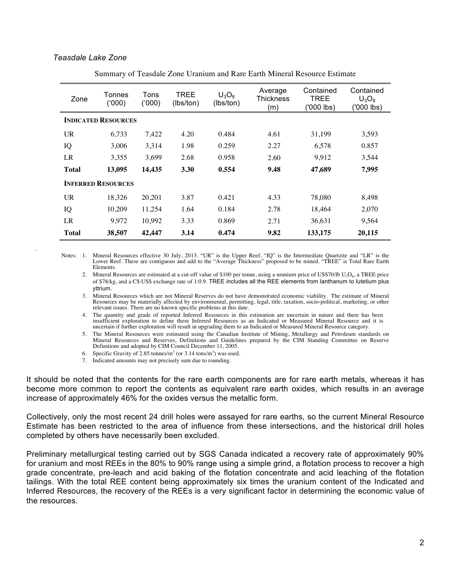### *Teasdale Lake Zone*

 *.*

| Zone                       | Tonnes<br>(000) | Tons<br>(000) | <b>TREE</b><br>(lbs/ton) | $U_3O_8$<br>(lbs/ton) | Average<br><b>Thickness</b><br>(m) | Contained<br><b>TREE</b><br>('000 lbs) | Contained<br>$U_3O_8$<br>('000 lbs) |  |  |
|----------------------------|-----------------|---------------|--------------------------|-----------------------|------------------------------------|----------------------------------------|-------------------------------------|--|--|
| <b>INDICATED RESOURCES</b> |                 |               |                          |                       |                                    |                                        |                                     |  |  |
| <b>UR</b>                  | 6.733           | 7,422         | 4.20                     | 0.484                 | 4.61                               | 31.199                                 | 3,593                               |  |  |
| IQ                         | 3,006           | 3,314         | 1.98                     | 0.259                 | 2.27                               | 6,578                                  | 0.857                               |  |  |
| LR                         | 3.355           | 3,699         | 2.68                     | 0.958                 | 2.60                               | 9,912                                  | 3,544                               |  |  |
| <b>Total</b>               | 13,095          | 14,435        | 3.30                     | 0.554                 | 9.48                               | 47,689                                 | 7,995                               |  |  |
| <b>INFERRED RESOURCES</b>  |                 |               |                          |                       |                                    |                                        |                                     |  |  |
| <b>UR</b>                  | 18.326          | 20,201        | 3.87                     | 0.421                 | 4.33                               | 78,080                                 | 8,498                               |  |  |
| IQ                         | 10,209          | 11,254        | 1.64                     | 0.184                 | 2.78                               | 18,464                                 | 2,070                               |  |  |
| LR                         | 9.972           | 10,992        | 3.33                     | 0.869                 | 2.71                               | 36.631                                 | 9.564                               |  |  |
| <b>Total</b>               | 38,507          | 42,447        | 3.14                     | 0.474                 | 9.82                               | 133,175                                | 20,115                              |  |  |

Summary of Teasdale Zone Uranium and Rare Earth Mineral Resource Estimate

Notes: 1. Mineral Resources effective 30 July, 2013. "UR" is the Upper Reef, "IQ" is the Intermediate Quartzite and "LR" is the Lower Reef. These are contiguous and add to the "Average Thickness" proposed to be mined. "TREE" is Total Rare Earth Elements.

2. Mineral Resources are estimated at a cut-off value of \$100 per tonne, using a uranium price of US\$70/lb  $U_3O_8$ , a TREE price of \$78/kg, and a C\$:US\$ exchange rate of 1:0.9. TREE includes all the REE elements from lanthanum to lutetium plus yttrium.

3. Mineral Resources which are not Mineral Reserves do not have demonstrated economic viability. The estimate of Mineral Resources may be materially affected by environmental, permitting, legal, title, taxation, socio-political, marketing, or other relevant issues. There are no known specific problems at this date.

4. The quantity and grade of reported Inferred Resources in this estimation are uncertain in nature and there has been insufficient exploration to define these Inferred Resources as an Indicated or Measured Mineral Resource and it is uncertain if further exploration will result in upgrading them to an Indicated or Measured Mineral Resource category.

5. The Mineral Resources were estimated using the Canadian Institute of Mining, Metallurgy and Petroleum standards on Mineral Resources and Reserves, Definitions and Guidelines prepared by the CIM Standing Committee on Reserve Definitions and adopted by CIM Council December 11, 2005.

6. Specific Gravity of 2.85 tonnes/m<sup>3</sup> (or  $3.14 \text{ tons/m}^3$ ) was used.

7. Indicated amounts may not precisely sum due to rounding.

It should be noted that the contents for the rare earth components are for rare earth metals, whereas it has become more common to report the contents as equivalent rare earth oxides, which results in an average increase of approximately 46% for the oxides versus the metallic form.

Collectively, only the most recent 24 drill holes were assayed for rare earths, so the current Mineral Resource Estimate has been restricted to the area of influence from these intersections, and the historical drill holes completed by others have necessarily been excluded.

Preliminary metallurgical testing carried out by SGS Canada indicated a recovery rate of approximately 90% for uranium and most REEs in the 80% to 90% range using a simple grind, a flotation process to recover a high grade concentrate, pre-leach and acid baking of the flotation concentrate and acid leaching of the flotation tailings. With the total REE content being approximately six times the uranium content of the Indicated and Inferred Resources, the recovery of the REEs is a very significant factor in determining the economic value of the resources.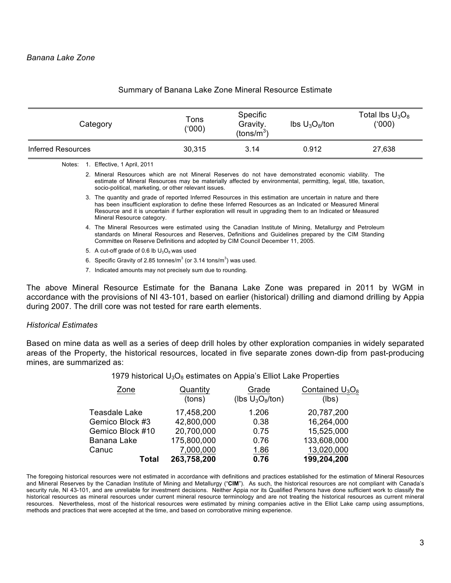| Category           | Tons<br>('000) | <b>Specific</b><br>Gravity.<br>(tons/ $m^{3}$ ) | $\text{Ibs } U_3O_8/\text{ton}$ | Total lbs $U_3O_8$<br>(000) |
|--------------------|----------------|-------------------------------------------------|---------------------------------|-----------------------------|
| Inferred Resources | 30.315         | 3.14                                            | 0.912                           | 27,638                      |

### Summary of Banana Lake Zone Mineral Resource Estimate

Notes: 1. Effective, 1 April, 2011

2. Mineral Resources which are not Mineral Reserves do not have demonstrated economic viability. The estimate of Mineral Resources may be materially affected by environmental, permitting, legal, title, taxation, socio-political, marketing, or other relevant issues.

- 3. The quantity and grade of reported Inferred Resources in this estimation are uncertain in nature and there has been insufficient exploration to define these Inferred Resources as an Indicated or Measured Mineral Resource and it is uncertain if further exploration will result in upgrading them to an Indicated or Measured Mineral Resource category.
- 4. The Mineral Resources were estimated using the Canadian Institute of Mining, Metallurgy and Petroleum standards on Mineral Resources and Reserves, Definitions and Guidelines prepared by the CIM Standing Committee on Reserve Definitions and adopted by CIM Council December 11, 2005.
- 5. A cut-off grade of 0.6 lb  $U_3O_8$  was used
- 6. Specific Gravity of 2.85 tonnes/m<sup>3</sup> (or 3.14 tons/m<sup>3</sup>) was used.
- 7. Indicated amounts may not precisely sum due to rounding.

The above Mineral Resource Estimate for the Banana Lake Zone was prepared in 2011 by WGM in accordance with the provisions of NI 43-101, based on earlier (historical) drilling and diamond drilling by Appia during 2007. The drill core was not tested for rare earth elements.

## *Historical Estimates*

Based on mine data as well as a series of deep drill holes by other exploration companies in widely separated areas of the Property, the historical resources, located in five separate zones down-dip from past-producing mines, are summarized as:

## 1979 historical  $U_3O_8$  estimates on Appia's Elliot Lake Properties

| Zone             | Quantity    | Grade               | Contained $U_3O_8$ |  |
|------------------|-------------|---------------------|--------------------|--|
|                  | (tons)      | (lbs $U_3O_8$ /ton) | (lbs)              |  |
| Teasdale Lake    | 17,458,200  | 1.206               | 20,787,200         |  |
| Gemico Block #3  | 42,800,000  | 0.38                | 16,264,000         |  |
| Gemico Block #10 | 20,700,000  | 0.75                | 15,525,000         |  |
| Banana Lake      | 175,800,000 | 0.76                | 133,608,000        |  |
| Canuc            | 7,000,000   | 1.86                | 13,020,000         |  |
| Total            | 263,758,200 | 0.76                | 199,204,200        |  |

The foregoing historical resources were not estimated in accordance with definitions and practices established for the estimation of Mineral Resources and Mineral Reserves by the Canadian Institute of Mining and Metallurgy ("**CIM**"). As such, the historical resources are not compliant with Canada's security rule, NI 43-101, and are unreliable for investment decisions. Neither Appia nor its Qualified Persons have done sufficient work to classify the historical resources as mineral resources under current mineral resource terminology and are not treating the historical resources as current mineral resources. Nevertheless, most of the historical resources were estimated by mining companies active in the Elliot Lake camp using assumptions, methods and practices that were accepted at the time, and based on corroborative mining experience.